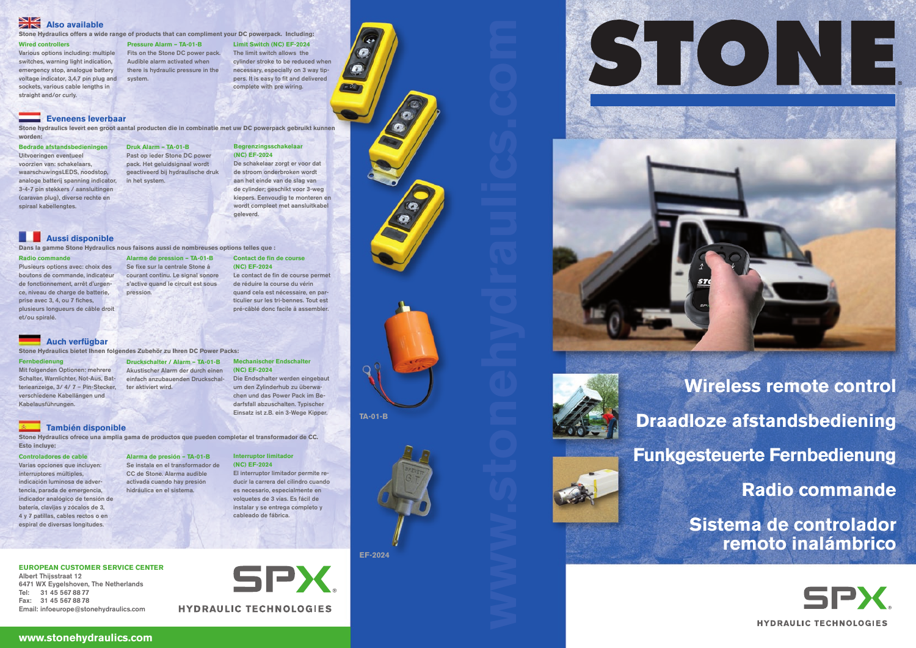

ST.

**Wireless remote control Draadloze afstandsbediening Funkgesteuerte Fernbedienung Radio commande Sistema de controlador remoto inalámbrico**

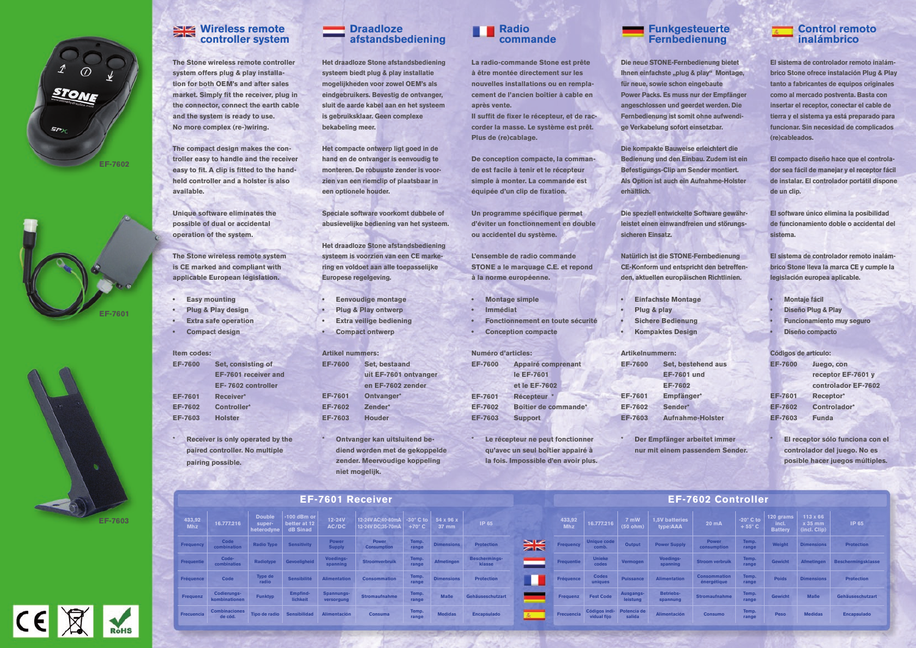# **Wireless remote controller system**

**The Stone wireless remote controller system offers plug & play installation for both OEM's and after sales market. Simply fit the receiver, plug in the connector, connect the earth cable and the system is ready to use. No more complex (re-)wiring.**

**The compact design makes the controller easy to handle and the receiver easy to fit. A clip is fitted to the handheld controller and a holster is also available.**

**Unique software eliminates the possible of dual or accidental operation of the system.** 

**The Stone wireless remote system is CE marked and compliant with applicable European legislation.**

- **• Easy mounting**
- **• Plug & Play design**
- **• Extra safe operation**
- **• Compact design**

**Item codes:**

**EF-7600 Set, consisting of** 

| 600 | Set, consisting of          |  |  |  |  |  |  |
|-----|-----------------------------|--|--|--|--|--|--|
|     | <b>EF-7601 receiver and</b> |  |  |  |  |  |  |
|     | EF-7602 controller          |  |  |  |  |  |  |
| 601 | <b>Receiver*</b>            |  |  |  |  |  |  |
| 602 | <b>Controller*</b>          |  |  |  |  |  |  |
| 603 | <b>Holster</b>              |  |  |  |  |  |  |

**EF-7601 Receiver\* EF-7 EF-7603 Holster**

> **\* Receiver is only operated by the paired controller. No multiple pairing possible.**

### **Draadloze afstandsbediening**

**Ontvanger kan uitsluitend bediend worden met de gekoppelde zender. Meervoudige koppeling niet mogelijk.**

**Het draadloze Stone afstandsbediening systeem biedt plug & play installatie mogelijkheden voor zowel OEM's als eindgebruikers. Bevestig de ontvanger, sluit de aarde kabel aan en het systeem is gebruiksklaar. Geen complexe bekabeling meer.**

**Het compacte ontwerp ligt goed in de hand en de ontvanger is eenvoudig te monteren. De robuuste zender is voorzien van een riemclip of plaatsbaar in een optionele houder.**

**Speciale software voorkomt dubbele of abusievelijke bediening van het systeem.**

**Het draadloze Stone afstandsbediening systeem is voorzien van een CE markering en voldoet aan alle toepasselijke Europese regelgeving.**

- **• Eenvoudige montage**
- **• Plug & Play ontwerp**
- **• Extra veilige bediening**
- **• Compact ontwerp**

| <b>Artikel nummers:</b> |                       |  |  |  |  |  |  |  |
|-------------------------|-----------------------|--|--|--|--|--|--|--|
| <b>EF-7600</b>          | Set, bestaand         |  |  |  |  |  |  |  |
|                         | uit EF-7601 ontvanger |  |  |  |  |  |  |  |
|                         | en EF-7602 zender     |  |  |  |  |  |  |  |
| <b>EF-7601</b>          | Ontvanger*            |  |  |  |  |  |  |  |
| <b>EF-7602</b>          | Zender*               |  |  |  |  |  |  |  |
| <b>EF-7603</b>          | <b>Houder</b>         |  |  |  |  |  |  |  |
|                         |                       |  |  |  |  |  |  |  |

**EF-7600 Set, bestehend aus Lund** 

**Re-Holster** 

# **Radio commande**

**La radio-commande Stone est prête à être montée directement sur les nouvelles installations ou en remplacement de l'ancien boîtier à cable en après vente.**

**Il suffit de fixer le récepteur, et de raccorder la masse. Le système est prêt. Plus de (re)cablage.**

**De conception compacte, la commande est facile à tenir et le récepteur simple à monter. La commande est équipée d'un clip de fixation.**

**Un programme spécifique permet d'éviter un fonctionnement en double ou accidentel du système.**

**L'ensemble de radio commande STONE a le marquage C.E. et repond à la norme européenne.**

- **• Montage simple**
- **• Immédiat**
- **• Fonctionnement en toute sécurité**
- **• Conception compacte**

| <b>Numéro d'articles:</b> |                           |
|---------------------------|---------------------------|
| <b>EF-7600</b>            | <b>Appairé comprenant</b> |
|                           | le EF-7601                |
|                           | et le EF-7602             |
| <b>EF-7601</b>            | <b>Récepteur</b>          |
| <b>EF-7602</b>            | Boîtier de commande*      |
| <b>EF-7603</b>            | <b>Support</b>            |

**\* Le récepteur ne peut fonctionner qu'avec un seul boîtier appairé à la fois. Impossible d'en avoir plus.** **Funkgesteuerte Fernbedienung**

**Die neue STONE-Fernbedienung bietet Ihnen einfachste "plug & play" Montage, für neue, sowie schon eingebaute Power Packs. Es muss nur der Empfänger angeschlossen und geerdet werden. Die Fernbedienung ist somit ohne aufwendige Verkabelung sofort einsetzbar.**

**Die kompakte Bauweise erleichtert die Bedienung und den Einbau. Zudem ist ein Befestigungs-Clip am Sender montiert. Als Option ist auch ein Aufnahme-Holster erhältlich.**

**Die speziell entwickelte Software gewährleistet einen einwandfreien und störungssicheren Einsatz.**

**Natürlich ist die STONE-Fernbedienung CE-Konform und entspricht den betreffenden, aktuellen europäischen Richtlinien.**

- **• Einfachste Montage**
- **• Plug & play**
- **• Sichere Bedienung**
	- **• Kompaktes Design**

| <b>Artikelnummern:</b> |                   |  |  |  |  |  |  |  |
|------------------------|-------------------|--|--|--|--|--|--|--|
| <b>EF-7600</b>         | Set, besteh       |  |  |  |  |  |  |  |
|                        | EF-7601 un        |  |  |  |  |  |  |  |
|                        | <b>EF-7602</b>    |  |  |  |  |  |  |  |
| <b>EF-7601</b>         | Empfänger*        |  |  |  |  |  |  |  |
| <b>EF-7602</b>         | Sender*           |  |  |  |  |  |  |  |
| <b>EF-7603</b>         | <b>Aufnahme-I</b> |  |  |  |  |  |  |  |
|                        |                   |  |  |  |  |  |  |  |

**\* Der Empfänger arbeitet immer nur mit einem passendem Sender.**

# **Control remoto inalámbrico**

**El sistema de controlador remoto inalámbrico Stone ofrece instalación Plug & Play tanto a fabricantes de equipos originales como al mercado postventa. Basta con insertar el receptor, conectar el cable de tierra y el sistema ya está preparado para funcionar. Sin necesidad de complicados (re)cableados.**

**El compacto diseño hace que el controlador sea fácil de manejar y el receptor fácil de instalar. El controlador portátil dispone de un clip.**

**El software único elimina la posibilidad de funcionamiento doble o accidental del sistema.** 

**El sistema de controlador remoto inalámbrico Stone lleva la marca CE y cumple la legislación europea aplicable.**

- **• Montaje fácil**
- **Diseño Plug & Play**
- **Funcionamiento muy seguro**
- **• Diseño compacto**

### **Códigos de artículo:**

| <b>EF-7600</b> | Juego, con          |  |  |  |  |
|----------------|---------------------|--|--|--|--|
|                | receptor EF-7601 y  |  |  |  |  |
|                | controlador EF-7602 |  |  |  |  |
| <b>EF-7601</b> | Receptor*           |  |  |  |  |
| <b>EF-7602</b> | Controlador*        |  |  |  |  |
| <b>EF-7603</b> | <b>Funda</b>        |  |  |  |  |

**EF-7603 Funda**

**\* El receptor sólo funciona con el controlador del juego. No es posible hacer juegos múltiples.**

# **EF-7601 Receiver**

| <b>EF-7601 Receiver</b> |                                                                         |                  |                                                                             |                                 |                                                                                                       |                |                           | <b>EF-7602 CONTROLLER</b> |   |                      |                                                        |                       |                               |                             |                                     |                                          |                                                   |                                       |
|-------------------------|-------------------------------------------------------------------------|------------------|-----------------------------------------------------------------------------|---------------------------------|-------------------------------------------------------------------------------------------------------|----------------|---------------------------|---------------------------|---|----------------------|--------------------------------------------------------|-----------------------|-------------------------------|-----------------------------|-------------------------------------|------------------------------------------|---------------------------------------------------|---------------------------------------|
| 433,92<br><b>Mhz</b>    | 16.777.216                                                              | super-           | Double $\vert$ -100 dBm or<br>better at $12$<br>heterodyne $\vert$ dB Sinad | $12-24V$<br>AC/DC               | 12-24V AC;40-80mA $\vert$ -30° C to $\vert$ 54 x 96 x<br>12-24V DC;35-70mA +70° C $\overline{)$ 37 mm |                |                           | IP 65                     |   | 433,92<br><b>Mhz</b> | 16.777.216                                             | 7 mW<br>(50 ohm)      | 1,5V batteries<br>type:AAA    | 20 mA                       | $-20^\circ$ C to<br>$+55^{\circ}$ C | 120 grams $ $<br>incl.<br><b>Battery</b> | $113 \times 66$<br>x 35 mm<br>$\int$ (incl. Clip) | IP 65                                 |
| Frequency               | Code<br>combination                                                     |                  | Radio Type Sensitivity                                                      | <b>Power</b><br><b>Supply</b>   | <b>Power</b><br><b>Consumption</b>                                                                    | Temp.<br>range | Dimensions                | Protection                | H | <b>Frequency</b>     | Unique code<br>comb.                                   | Output                | <b>Power Supply</b>           | <b>Power</b><br>consumption | Temp.<br>range                      |                                          | Weight Dimensions                                 | <b>Protection</b>                     |
| Frequentie              | Code-<br>combinaties                                                    |                  | Radiotype Gevoeligheid                                                      | Voedings-<br>spanning           | <b>Stroomverbruik</b>                                                                                 |                | Temp. Afmetingen          | Beschermings-<br>klasse   |   | Frequentie           | <b>Unieke</b><br>codes                                 | Vermogen              | Voedings-<br>spanning         | <b>Stroom verbruik</b>      | Temp.<br>range                      |                                          |                                                   | Gewicht Afmetingen Beschermingsklasse |
| Fréquence               | Code                                                                    | Type de<br>radio |                                                                             | Sensibilité Alimentation        | <b>Consommation</b>                                                                                   |                | Temp.<br>range Dimensions | <b>Protection</b>         |   | Fréquence            | <b>Codes</b><br>uniques                                |                       | <b>Puissance Alimentation</b> | Consommation<br>énergétique | Temp.<br>range                      | <b>Poids</b>                             | <b>Dimensions</b>                                 | <b>Protection</b>                     |
| Frequenz                | <b>Codierungs-</b><br>kombinationen                                     | <b>Funktyp</b>   | Empfind-<br>lichkeit                                                        | <b>Spannungs-</b><br>versorgung | <b>Stromaufnahme</b>                                                                                  | Temp.<br>range | <b>Maße</b>               | Gehäuseschutzart          |   |                      | Frequenz Fest Code                                     | Ausgangs-<br>leistung | <b>Betriebs-</b><br>spannung  | <b>Stromaufnahme</b>        | Temp.<br>range                      | <b>Gewicht</b>                           | <b>Maße</b>                                       | Gehäuseschutzart                      |
| Frecuencia              | <b>Combinaciones</b><br>de cód. Tipo de radio Sensibilidad Alimentación |                  |                                                                             |                                 | Consuma                                                                                               | Temp.<br>range | <b>Medidas</b>            | <b>Encapsulado</b>        |   |                      | Frecuencia Códigos indi-Potencia de Vidual fijo salida |                       | Alimentación                  | <b>Consumo</b>              | Temp.<br>range                      | Peso                                     | <b>Medidas</b>                                    | <b>Encapsulado</b>                    |





### **EF-7602 Controller**







**EF-7603**